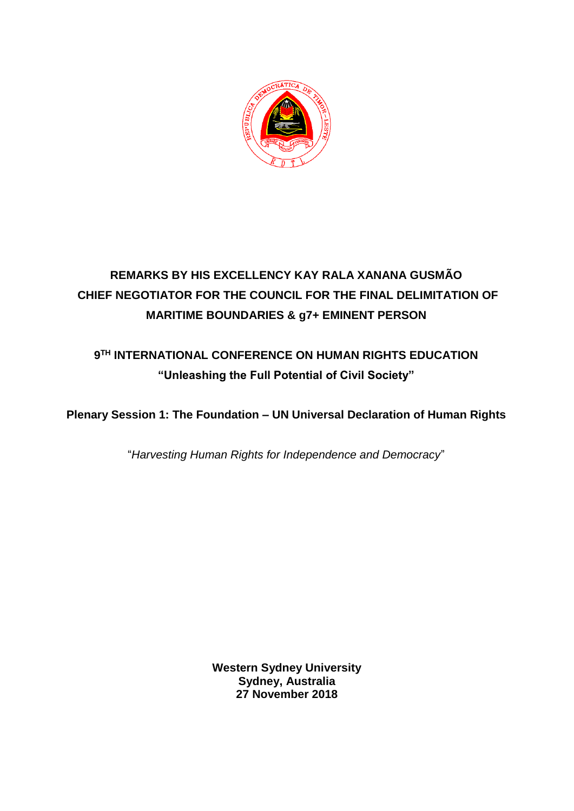

## **REMARKS BY HIS EXCELLENCY KAY RALA XANANA GUSMÃO CHIEF NEGOTIATOR FOR THE COUNCIL FOR THE FINAL DELIMITATION OF MARITIME BOUNDARIES & g7+ EMINENT PERSON**

## **9 TH INTERNATIONAL CONFERENCE ON HUMAN RIGHTS EDUCATION "Unleashing the Full Potential of Civil Society"**

**Plenary Session 1: The Foundation – UN Universal Declaration of Human Rights** 

"*Harvesting Human Rights for Independence and Democracy*"

**Western Sydney University Sydney, Australia 27 November 2018**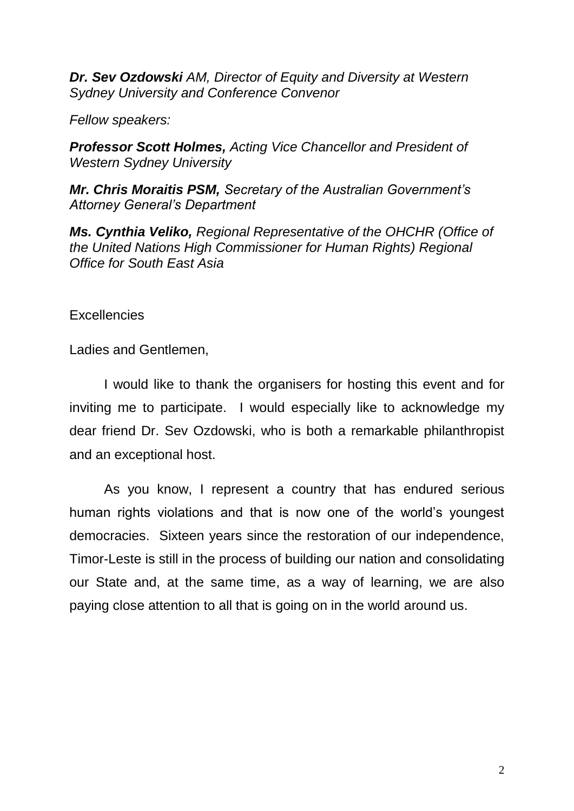*Dr. Sev Ozdowski AM, Director of Equity and Diversity at Western Sydney University and Conference Convenor* 

*Fellow speakers:* 

*Professor Scott Holmes, Acting Vice Chancellor and President of Western Sydney University*

*Mr. Chris Moraitis PSM, Secretary of the Australian Government's Attorney General's Department*

*Ms. Cynthia Veliko, Regional Representative of the OHCHR (Office of the United Nations High Commissioner for Human Rights) Regional Office for South East Asia*

**Excellencies** 

Ladies and Gentlemen,

I would like to thank the organisers for hosting this event and for inviting me to participate. I would especially like to acknowledge my dear friend Dr. Sev Ozdowski, who is both a remarkable philanthropist and an exceptional host.

As you know, I represent a country that has endured serious human rights violations and that is now one of the world's youngest democracies. Sixteen years since the restoration of our independence, Timor-Leste is still in the process of building our nation and consolidating our State and, at the same time, as a way of learning, we are also paying close attention to all that is going on in the world around us.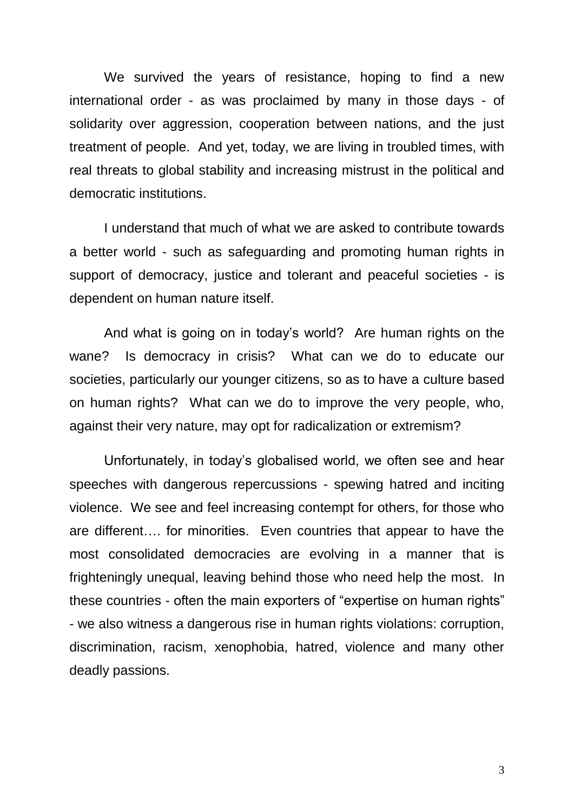We survived the years of resistance, hoping to find a new international order - as was proclaimed by many in those days - of solidarity over aggression, cooperation between nations, and the just treatment of people. And yet, today, we are living in troubled times, with real threats to global stability and increasing mistrust in the political and democratic institutions.

I understand that much of what we are asked to contribute towards a better world - such as safeguarding and promoting human rights in support of democracy, justice and tolerant and peaceful societies - is dependent on human nature itself.

And what is going on in today's world? Are human rights on the wane? Is democracy in crisis? What can we do to educate our societies, particularly our younger citizens, so as to have a culture based on human rights? What can we do to improve the very people, who, against their very nature, may opt for radicalization or extremism?

Unfortunately, in today's globalised world, we often see and hear speeches with dangerous repercussions - spewing hatred and inciting violence. We see and feel increasing contempt for others, for those who are different…. for minorities. Even countries that appear to have the most consolidated democracies are evolving in a manner that is frighteningly unequal, leaving behind those who need help the most. In these countries - often the main exporters of "expertise on human rights" - we also witness a dangerous rise in human rights violations: corruption, discrimination, racism, xenophobia, hatred, violence and many other deadly passions.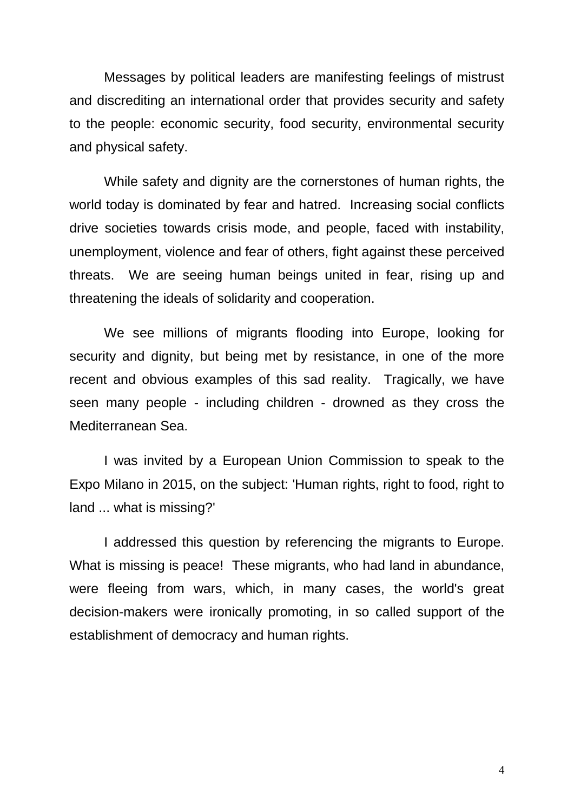Messages by political leaders are manifesting feelings of mistrust and discrediting an international order that provides security and safety to the people: economic security, food security, environmental security and physical safety.

While safety and dignity are the cornerstones of human rights, the world today is dominated by fear and hatred. Increasing social conflicts drive societies towards crisis mode, and people, faced with instability, unemployment, violence and fear of others, fight against these perceived threats. We are seeing human beings united in fear, rising up and threatening the ideals of solidarity and cooperation.

We see millions of migrants flooding into Europe, looking for security and dignity, but being met by resistance, in one of the more recent and obvious examples of this sad reality. Tragically, we have seen many people - including children - drowned as they cross the Mediterranean Sea.

I was invited by a European Union Commission to speak to the Expo Milano in 2015, on the subject: 'Human rights, right to food, right to land ... what is missing?'

I addressed this question by referencing the migrants to Europe. What is missing is peace! These migrants, who had land in abundance, were fleeing from wars, which, in many cases, the world's great decision-makers were ironically promoting, in so called support of the establishment of democracy and human rights.

4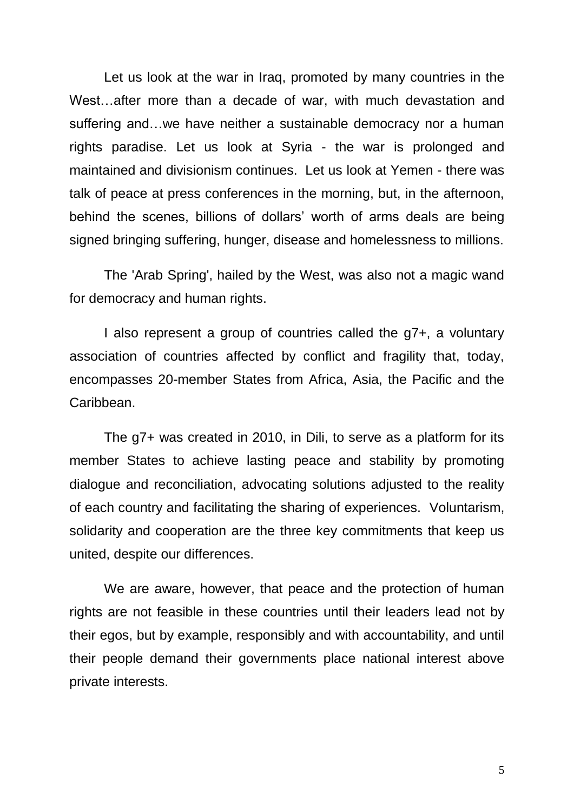Let us look at the war in Iraq, promoted by many countries in the West…after more than a decade of war, with much devastation and suffering and…we have neither a sustainable democracy nor a human rights paradise. Let us look at Syria - the war is prolonged and maintained and divisionism continues. Let us look at Yemen - there was talk of peace at press conferences in the morning, but, in the afternoon, behind the scenes, billions of dollars' worth of arms deals are being signed bringing suffering, hunger, disease and homelessness to millions.

The 'Arab Spring', hailed by the West, was also not a magic wand for democracy and human rights.

I also represent a group of countries called the g7+, a voluntary association of countries affected by conflict and fragility that, today, encompasses 20-member States from Africa, Asia, the Pacific and the Caribbean.

The g7+ was created in 2010, in Dili, to serve as a platform for its member States to achieve lasting peace and stability by promoting dialogue and reconciliation, advocating solutions adjusted to the reality of each country and facilitating the sharing of experiences. Voluntarism, solidarity and cooperation are the three key commitments that keep us united, despite our differences.

We are aware, however, that peace and the protection of human rights are not feasible in these countries until their leaders lead not by their egos, but by example, responsibly and with accountability, and until their people demand their governments place national interest above private interests.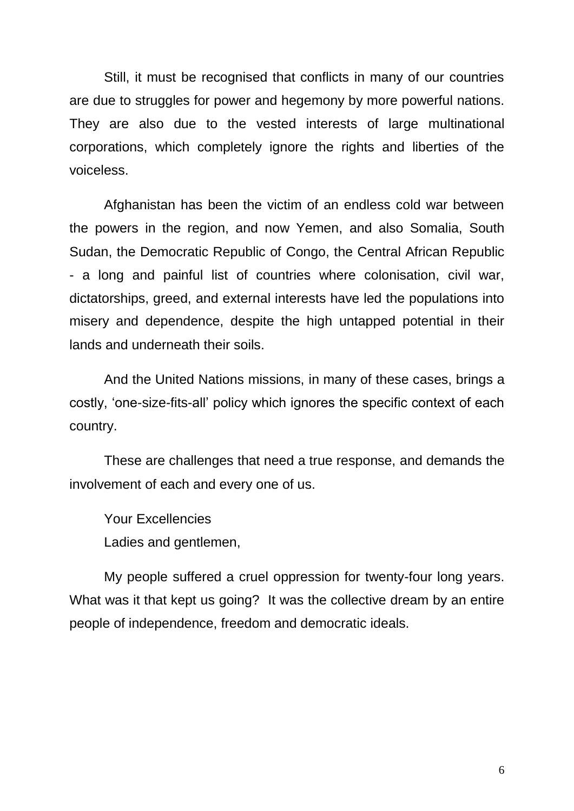Still, it must be recognised that conflicts in many of our countries are due to struggles for power and hegemony by more powerful nations. They are also due to the vested interests of large multinational corporations, which completely ignore the rights and liberties of the voiceless.

Afghanistan has been the victim of an endless cold war between the powers in the region, and now Yemen, and also Somalia, South Sudan, the Democratic Republic of Congo, the Central African Republic - a long and painful list of countries where colonisation, civil war, dictatorships, greed, and external interests have led the populations into misery and dependence, despite the high untapped potential in their lands and underneath their soils.

And the United Nations missions, in many of these cases, brings a costly, 'one-size-fits-all' policy which ignores the specific context of each country.

These are challenges that need a true response, and demands the involvement of each and every one of us.

Your Excellencies Ladies and gentlemen,

My people suffered a cruel oppression for twenty-four long years. What was it that kept us going? It was the collective dream by an entire people of independence, freedom and democratic ideals.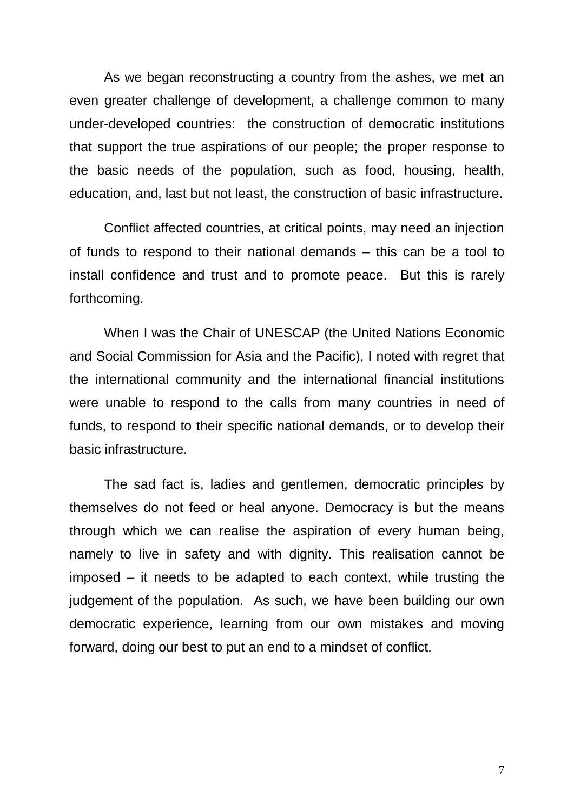As we began reconstructing a country from the ashes, we met an even greater challenge of development, a challenge common to many under-developed countries: the construction of democratic institutions that support the true aspirations of our people; the proper response to the basic needs of the population, such as food, housing, health, education, and, last but not least, the construction of basic infrastructure.

Conflict affected countries, at critical points, may need an injection of funds to respond to their national demands – this can be a tool to install confidence and trust and to promote peace. But this is rarely forthcoming.

When I was the Chair of UNESCAP (the United Nations Economic and Social Commission for Asia and the Pacific), I noted with regret that the international community and the international financial institutions were unable to respond to the calls from many countries in need of funds, to respond to their specific national demands, or to develop their basic infrastructure.

The sad fact is, ladies and gentlemen, democratic principles by themselves do not feed or heal anyone. Democracy is but the means through which we can realise the aspiration of every human being, namely to live in safety and with dignity. This realisation cannot be imposed – it needs to be adapted to each context, while trusting the judgement of the population. As such, we have been building our own democratic experience, learning from our own mistakes and moving forward, doing our best to put an end to a mindset of conflict.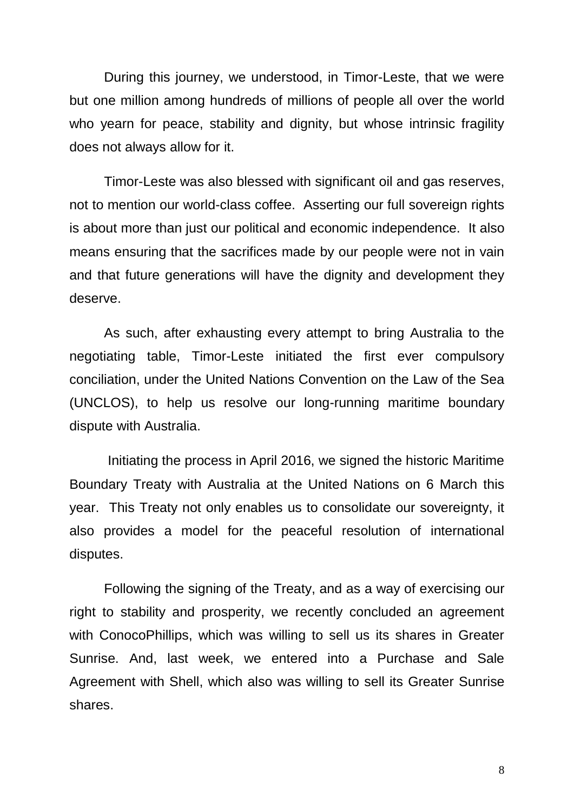During this journey, we understood, in Timor-Leste, that we were but one million among hundreds of millions of people all over the world who yearn for peace, stability and dignity, but whose intrinsic fragility does not always allow for it.

Timor-Leste was also blessed with significant oil and gas reserves, not to mention our world-class coffee. Asserting our full sovereign rights is about more than just our political and economic independence. It also means ensuring that the sacrifices made by our people were not in vain and that future generations will have the dignity and development they deserve.

As such, after exhausting every attempt to bring Australia to the negotiating table, Timor-Leste initiated the first ever compulsory conciliation, under the United Nations Convention on the Law of the Sea (UNCLOS), to help us resolve our long-running maritime boundary dispute with Australia.

Initiating the process in April 2016, we signed the historic Maritime Boundary Treaty with Australia at the United Nations on 6 March this year. This Treaty not only enables us to consolidate our sovereignty, it also provides a model for the peaceful resolution of international disputes.

Following the signing of the Treaty, and as a way of exercising our right to stability and prosperity, we recently concluded an agreement with ConocoPhillips, which was willing to sell us its shares in Greater Sunrise. And, last week, we entered into a Purchase and Sale Agreement with Shell, which also was willing to sell its Greater Sunrise shares.

8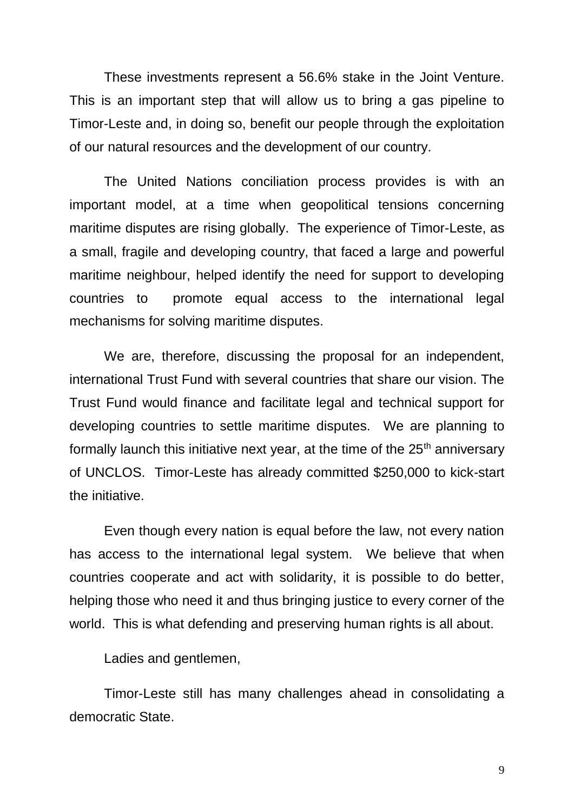These investments represent a 56.6% stake in the Joint Venture. This is an important step that will allow us to bring a gas pipeline to Timor-Leste and, in doing so, benefit our people through the exploitation of our natural resources and the development of our country.

The United Nations conciliation process provides is with an important model, at a time when geopolitical tensions concerning maritime disputes are rising globally. The experience of Timor-Leste, as a small, fragile and developing country, that faced a large and powerful maritime neighbour, helped identify the need for support to developing countries to promote equal access to the international legal mechanisms for solving maritime disputes.

We are, therefore, discussing the proposal for an independent, international Trust Fund with several countries that share our vision. The Trust Fund would finance and facilitate legal and technical support for developing countries to settle maritime disputes. We are planning to formally launch this initiative next year, at the time of the  $25<sup>th</sup>$  anniversary of UNCLOS. Timor-Leste has already committed \$250,000 to kick-start the initiative.

Even though every nation is equal before the law, not every nation has access to the international legal system. We believe that when countries cooperate and act with solidarity, it is possible to do better, helping those who need it and thus bringing justice to every corner of the world. This is what defending and preserving human rights is all about.

Ladies and gentlemen,

Timor-Leste still has many challenges ahead in consolidating a democratic State.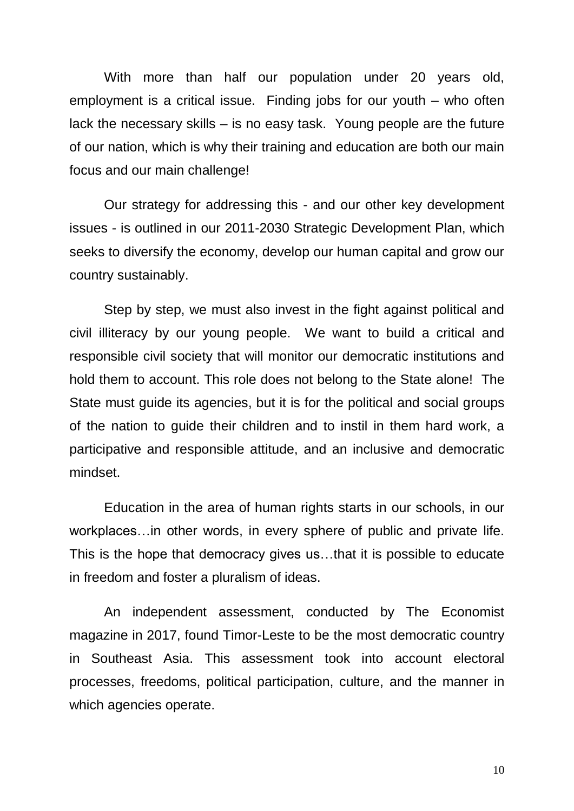With more than half our population under 20 years old, employment is a critical issue. Finding jobs for our youth – who often lack the necessary skills – is no easy task. Young people are the future of our nation, which is why their training and education are both our main focus and our main challenge!

Our strategy for addressing this - and our other key development issues - is outlined in our 2011-2030 Strategic Development Plan, which seeks to diversify the economy, develop our human capital and grow our country sustainably.

Step by step, we must also invest in the fight against political and civil illiteracy by our young people. We want to build a critical and responsible civil society that will monitor our democratic institutions and hold them to account. This role does not belong to the State alone! The State must guide its agencies, but it is for the political and social groups of the nation to guide their children and to instil in them hard work, a participative and responsible attitude, and an inclusive and democratic mindset.

Education in the area of human rights starts in our schools, in our workplaces…in other words, in every sphere of public and private life. This is the hope that democracy gives us…that it is possible to educate in freedom and foster a pluralism of ideas.

An independent assessment, conducted by The Economist magazine in 2017, found Timor-Leste to be the most democratic country in Southeast Asia. This assessment took into account electoral processes, freedoms, political participation, culture, and the manner in which agencies operate.

10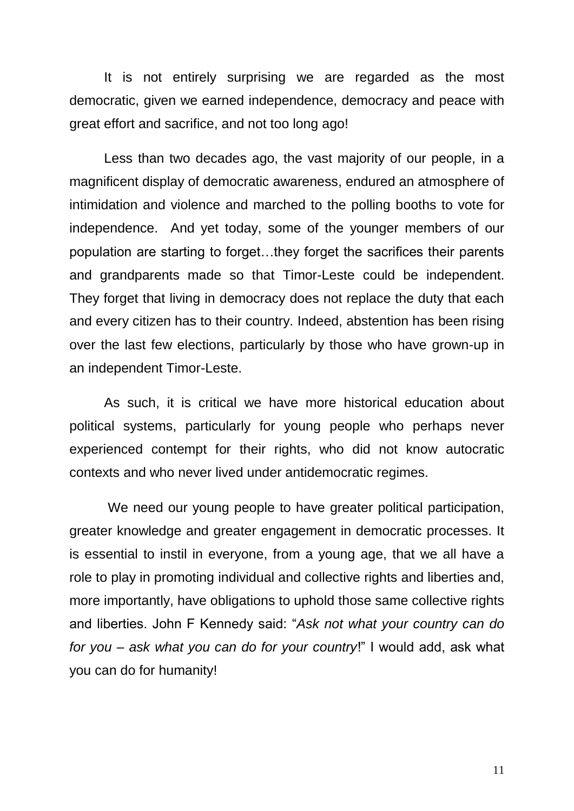It is not entirely surprising we are regarded as the most democratic, given we earned independence, democracy and peace with great effort and sacrifice, and not too long ago!

Less than two decades ago, the vast majority of our people, in a magnificent display of democratic awareness, endured an atmosphere of intimidation and violence and marched to the polling booths to vote for independence. And yet today, some of the younger members of our population are starting to forget…they forget the sacrifices their parents and grandparents made so that Timor-Leste could be independent. They forget that living in democracy does not replace the duty that each and every citizen has to their country. Indeed, abstention has been rising over the last few elections, particularly by those who have grown-up in an independent Timor-Leste.

As such, it is critical we have more historical education about political systems, particularly for young people who perhaps never experienced contempt for their rights, who did not know autocratic contexts and who never lived under antidemocratic regimes.

We need our young people to have greater political participation, greater knowledge and greater engagement in democratic processes. It is essential to instil in everyone, from a young age, that we all have a role to play in promoting individual and collective rights and liberties and, more importantly, have obligations to uphold those same collective rights and liberties. John F Kennedy said: "*Ask not what your country can do for you – ask what you can do for your country*!" I would add, ask what you can do for humanity!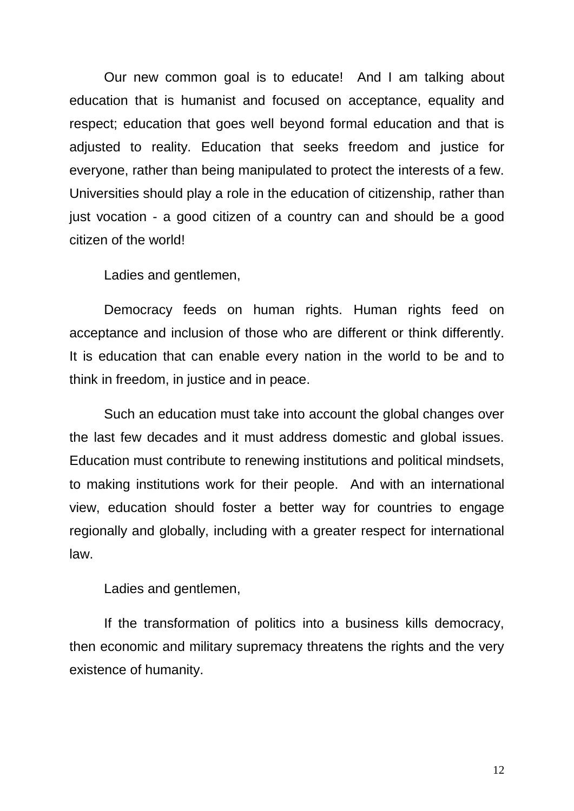Our new common goal is to educate! And I am talking about education that is humanist and focused on acceptance, equality and respect; education that goes well beyond formal education and that is adjusted to reality. Education that seeks freedom and justice for everyone, rather than being manipulated to protect the interests of a few. Universities should play a role in the education of citizenship, rather than just vocation - a good citizen of a country can and should be a good citizen of the world!

Ladies and gentlemen,

Democracy feeds on human rights. Human rights feed on acceptance and inclusion of those who are different or think differently. It is education that can enable every nation in the world to be and to think in freedom, in justice and in peace.

Such an education must take into account the global changes over the last few decades and it must address domestic and global issues. Education must contribute to renewing institutions and political mindsets, to making institutions work for their people. And with an international view, education should foster a better way for countries to engage regionally and globally, including with a greater respect for international law.

Ladies and gentlemen,

If the transformation of politics into a business kills democracy, then economic and military supremacy threatens the rights and the very existence of humanity.